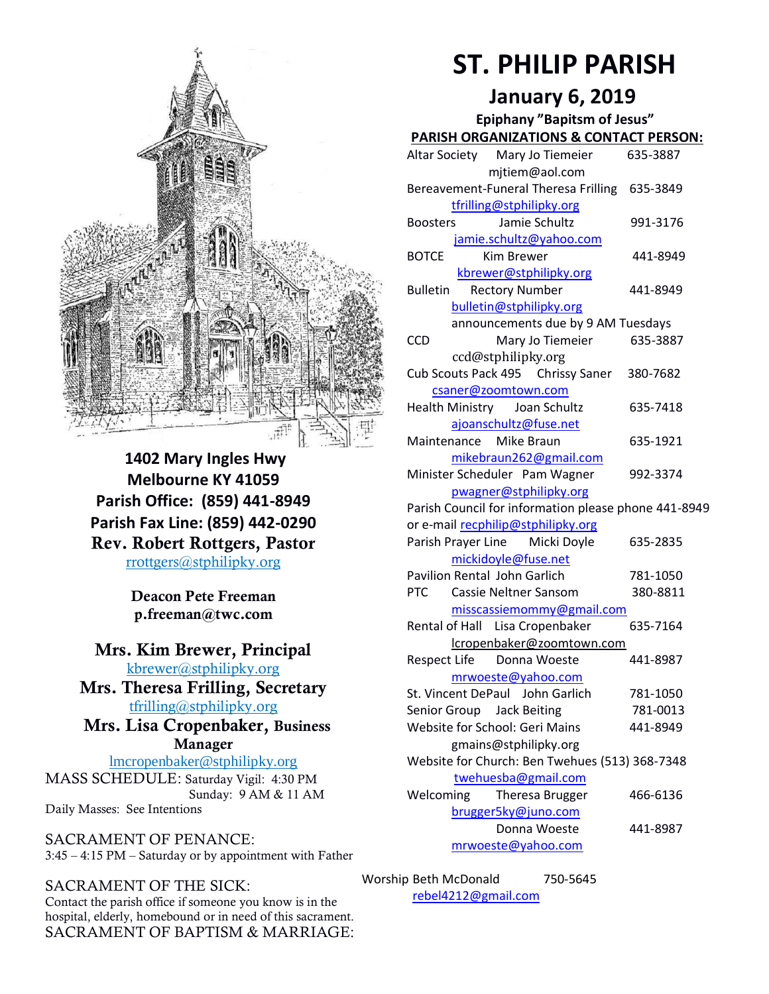

**1402 Mary Ingles Hwy Melbourne KY 41059 Parish Office: (859) 441-8949 Parish Fax Line: (859) 442-0290** Rev. Robert Rottgers, Pastor [rrottgers@stphilipky.org](mailto:rrottgers@stphilipky.org)

> Deacon Pete Freeman p.freeman@twc.com

## Mrs. Kim Brewer, Principal [kbrewer@stphilipky.org](mailto:kbrewer@stphilipky.org)

Mrs. Theresa Frilling, Secretary [tfrilling@stphilipky.org](mailto:tfrilling@stphilipky.org)

 Mrs. Lisa Cropenbaker, Business Manager

lmcropenbaker@stphilipky.org MASS SCHEDULE: Saturday Vigil: 4:30 PM Sunday: 9 AM & 11 AM Daily Masses: See Intentions

SACRAMENT OF PENANCE: 3:45 – 4:15 PM – Saturday or by appointment with Father

## SACRAMENT OF THE SICK:

Contact the parish office if someone you know is in the hospital, elderly, homebound or in need of this sacrament. SACRAMENT OF BAPTISM & MARRIAGE:

# **ST. PHILIP PARISH**

# **January 6, 2019**

**Epiphany "Bapitsm of Jesus"**

| <b>PARISH ORGANIZATIONS &amp; CONTACT PERSON:</b>    |          |
|------------------------------------------------------|----------|
| Altar Society Mary Jo Tiemeier                       | 635-3887 |
| mitiem@aol.com                                       |          |
| Bereavement-Funeral Theresa Frilling 635-3849        |          |
| tfrilling@stphilipky.org                             |          |
| Jamie Schultz<br><b>Boosters</b>                     | 991-3176 |
| jamie.schultz@yahoo.com                              |          |
| <b>BOTCE</b><br>Kim Brewer                           | 441-8949 |
| kbrewer@stphilipky.org                               |          |
| <b>Rectory Number</b><br><b>Bulletin</b>             | 441-8949 |
| bulletin@stphilipky.org                              |          |
| announcements due by 9 AM Tuesdays                   |          |
| Mary Jo Tiemeier<br><b>CCD</b>                       | 635-3887 |
| ccd@stphilipky.org                                   |          |
| Cub Scouts Pack 495 Chrissy Saner                    | 380-7682 |
| csaner@zoomtown.com                                  |          |
| Health Ministry Joan Schultz                         | 635-7418 |
| ajoanschultz@fuse.net                                |          |
| Maintenance Mike Braun                               | 635-1921 |
| mikebraun262@gmail.com                               |          |
| Minister Scheduler Pam Wagner                        | 992-3374 |
| pwagner@stphilipky.org                               |          |
| Parish Council for information please phone 441-8949 |          |
| or e-mail recphilip@stphilipky.org                   |          |
| Parish Prayer Line Micki Doyle                       | 635-2835 |
| mickidoyle@fuse.net                                  |          |
| Pavilion Rental John Garlich                         | 781-1050 |
| <b>PTC</b><br>Cassie Neltner Sansom                  | 380-8811 |
| misscassiemommy@gmail.com                            |          |
| Rental of Hall Lisa Cropenbaker                      | 635-7164 |
| lcropenbaker@zoomtown.com                            |          |
| <b>Respect Life</b><br>Donna Woeste                  | 441-8987 |
| mrwoeste@yahoo.com                                   |          |
| St. Vincent DePaul John Garlich                      | 781-1050 |
| Senior Group Jack Beiting                            | 781-0013 |
| Website for School: Geri Mains                       | 441-8949 |
| gmains@stphilipky.org                                |          |
| Website for Church: Ben Twehues (513) 368-7348       |          |
| twehuesba@gmail.com                                  |          |
| Welcoming<br>Theresa Brugger                         | 466-6136 |
| brugger5ky@juno.com                                  |          |
| Donna Woeste                                         | 441-8987 |
| mrwoeste@yahoo.com                                   |          |

Worship Beth McDonald 750-5645 [rebel4212@gmail.com](mailto:trebel4212@gmail.com)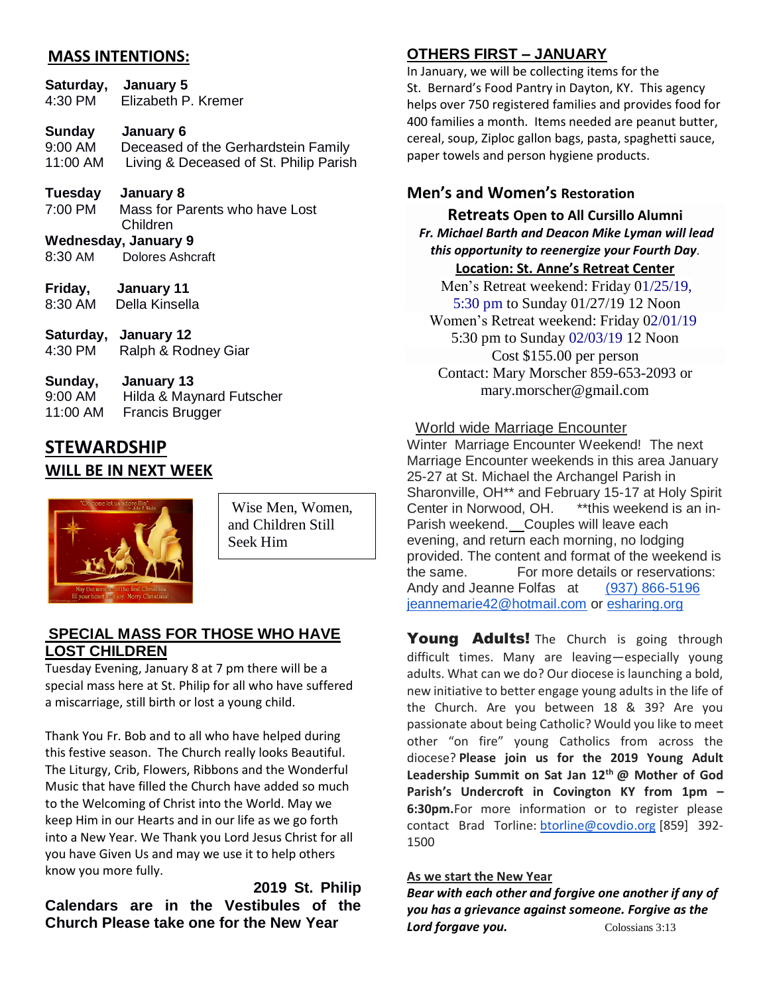## **MASS INTENTIONS:**

|                     | Saturday, January 5<br>4:30 PM Elizabeth P. Kremer                                                |
|---------------------|---------------------------------------------------------------------------------------------------|
| 9:00 AM<br>11:00 AM | Sunday January 6<br>Deceased of the Gerhardstein Family<br>Living & Deceased of St. Philip Parish |
| 7:00 PM             | Tuesday January 8<br>Mass for Parents who have Lost<br>Children                                   |
|                     | Wednesday, January 9                                                                              |
| 8:30 AM             | Dolores Ashcraft                                                                                  |
|                     | Friday, January 11<br>8:30 AM Della Kinsella                                                      |
| 4:30 PM             | Saturday, January 12<br>Ralph & Rodney Giar                                                       |
| a·nn am             | Sunday, January 13<br>Hilda & Maynard Futscher                                                    |

| 0.007 U. | $1.11$ $0.00$ $\alpha$ $1.01$ $0.01$ $\alpha$ $1.01$ $\alpha$ $1.00$ $\alpha$ |
|----------|-------------------------------------------------------------------------------|
| 11:00 AM | Francis Brugger                                                               |
|          |                                                                               |

## **STEWARDSHIP WILL BE IN NEXT WEEK**



Wise Men, Women, and Children Still Seek Him

### **SPECIAL MASS FOR THOSE WHO HAVE LOST CHILDREN**

Tuesday Evening, January 8 at 7 pm there will be a special mass here at St. Philip for all who have suffered a miscarriage, still birth or lost a young child.

Thank You Fr. Bob and to all who have helped during this festive season. The Church really looks Beautiful. The Liturgy, Crib, Flowers, Ribbons and the Wonderful Music that have filled the Church have added so much to the Welcoming of Christ into the World. May we keep Him in our Hearts and in our life as we go forth into a New Year. We Thank you Lord Jesus Christ for all you have Given Us and may we use it to help others know you more fully.

 **2019 St. Philip Calendars are in the Vestibules of the Church Please take one for the New Year** 

# **OTHERS FIRST – JANUARY**

In January, we will be collecting items for the St. Bernard's Food Pantry in Dayton, KY. This agency helps over 750 registered families and provides food for 400 families a month. Items needed are peanut butter, cereal, soup, Ziploc gallon bags, pasta, spaghetti sauce, paper towels and person hygiene products.

## **Men's and Women's Restoration**

**Retreats Open to All Cursillo Alumni** *Fr. Michael Barth and Deacon Mike Lyman will lead this opportunity to reenergize your Fourth Day.* **Location: St. Anne's Retreat Center**

Men's Retreat weekend: Friday 01/25/19, 5:30 pm to Sunday 01/27/19 12 Noon Women's Retreat weekend: Friday 02/01/19 5:30 pm to Sunday 02/03/19 12 Noon Cost \$155.00 per person Contact: Mary Morscher 859-653-2093 or mary.morscher@gmail.com

## World wide Marriage Encounter

Winter Marriage Encounter Weekend! The next Marriage Encounter weekends in this area January 25-27 at St. Michael the Archangel Parish in Sharonville, OH\*\* and February 15-17 at Holy Spirit Center in Norwood, OH. \*\*this weekend is an in-Parish weekend.Couples will leave each evening, and return each morning, no lodging provided. The content and format of the weekend is the same. For more details or reservations: Andy and Jeanne Folfas at [\(937\) 866-5196](tel:(937)%20866-5196)  [jeannemarie42@hotmail.com](mailto:jeannemarie42@hotmail.com) or [esharing.org](http://ww.esharing.org/)

**Young Adults!** The Church is going through difficult times. Many are leaving—especially young adults. What can we do? Our diocese is launching a bold, new initiative to better engage young adults in the life of the Church. Are you between 18 & 39? Are you passionate about being Catholic? Would you like to meet other "on fire" young Catholics from across the diocese? **Please join us for the 2019 Young Adult Leadership Summit on Sat Jan 12th @ Mother of God Parish's Undercroft in Covington KY from 1pm – 6:30pm.**For more information or to register please contact Brad Torline: [btorline@covdio.org](mailto:btorline@covdio.org) [859] 392-1500

### **As we start the New Year**

*Bear with each other and forgive one another if any of you has a grievance against someone. Forgive as the*  **Lord forgave you.** Colossians 3:13